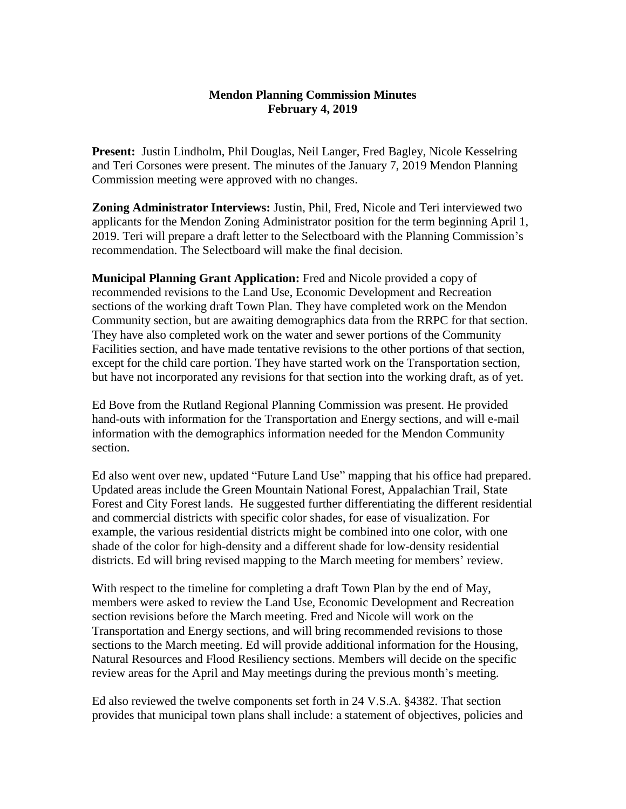## **Mendon Planning Commission Minutes February 4, 2019**

**Present:** Justin Lindholm, Phil Douglas, Neil Langer, Fred Bagley, Nicole Kesselring and Teri Corsones were present. The minutes of the January 7, 2019 Mendon Planning Commission meeting were approved with no changes.

**Zoning Administrator Interviews:** Justin, Phil, Fred, Nicole and Teri interviewed two applicants for the Mendon Zoning Administrator position for the term beginning April 1, 2019. Teri will prepare a draft letter to the Selectboard with the Planning Commission's recommendation. The Selectboard will make the final decision.

**Municipal Planning Grant Application:** Fred and Nicole provided a copy of recommended revisions to the Land Use, Economic Development and Recreation sections of the working draft Town Plan. They have completed work on the Mendon Community section, but are awaiting demographics data from the RRPC for that section. They have also completed work on the water and sewer portions of the Community Facilities section, and have made tentative revisions to the other portions of that section, except for the child care portion. They have started work on the Transportation section, but have not incorporated any revisions for that section into the working draft, as of yet.

Ed Bove from the Rutland Regional Planning Commission was present. He provided hand-outs with information for the Transportation and Energy sections, and will e-mail information with the demographics information needed for the Mendon Community section.

Ed also went over new, updated "Future Land Use" mapping that his office had prepared. Updated areas include the Green Mountain National Forest, Appalachian Trail, State Forest and City Forest lands. He suggested further differentiating the different residential and commercial districts with specific color shades, for ease of visualization. For example, the various residential districts might be combined into one color, with one shade of the color for high-density and a different shade for low-density residential districts. Ed will bring revised mapping to the March meeting for members' review.

With respect to the timeline for completing a draft Town Plan by the end of May, members were asked to review the Land Use, Economic Development and Recreation section revisions before the March meeting. Fred and Nicole will work on the Transportation and Energy sections, and will bring recommended revisions to those sections to the March meeting. Ed will provide additional information for the Housing, Natural Resources and Flood Resiliency sections. Members will decide on the specific review areas for the April and May meetings during the previous month's meeting.

Ed also reviewed the twelve components set forth in 24 V.S.A. §4382. That section provides that municipal town plans shall include: a statement of objectives, policies and